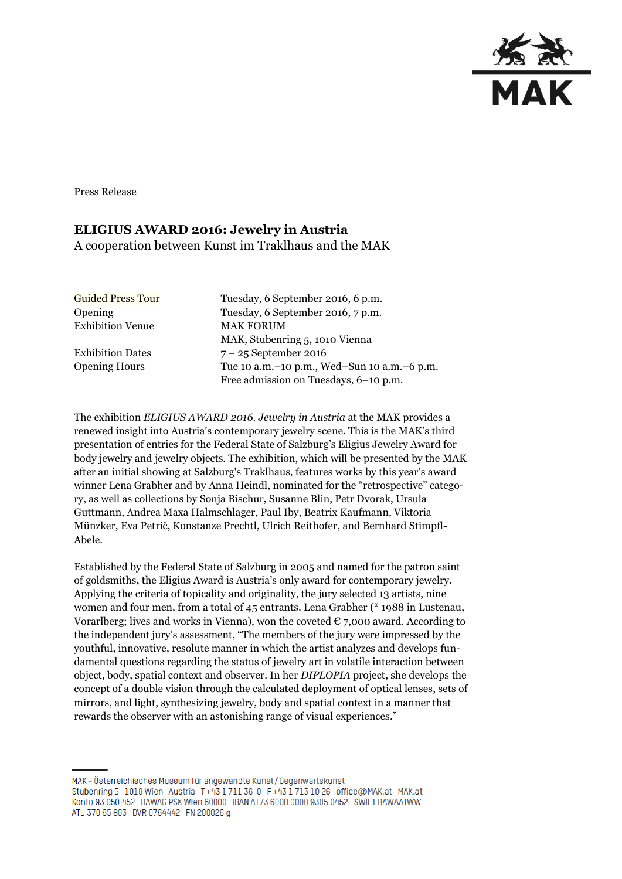

Press Release

## **ELIGIUS AWARD 2016: Jewelry in Austria**

A cooperation between Kunst im Traklhaus and the MAK

| <b>Guided Press Tour</b> | Tuesday, 6 September 2016, 6 p.m.               |
|--------------------------|-------------------------------------------------|
| <b>Opening</b>           | Tuesday, 6 September 2016, 7 p.m.               |
| <b>Exhibition Venue</b>  | <b>MAK FORUM</b>                                |
|                          | MAK, Stubenring 5, 1010 Vienna                  |
| <b>Exhibition Dates</b>  | $7 - 25$ September 2016                         |
| <b>Opening Hours</b>     | Tue 10 a.m. - 10 p.m., Wed-Sun 10 a.m. - 6 p.m. |
|                          | Free admission on Tuesdays, 6-10 p.m.           |

The exhibition *ELIGIUS AWARD 2016. Jewelry in Austria* at the MAK provides a renewed insight into Austria's contemporary jewelry scene. This is the MAK's third presentation of entries for the Federal State of Salzburg's Eligius Jewelry Award for body jewelry and jewelry objects. The exhibition, which will be presented by the MAK after an initial showing at Salzburg's Traklhaus, features works by this year's award winner Lena Grabher and by Anna Heindl, nominated for the "retrospective" category, as well as collections by Sonja Bischur, Susanne Blin, Petr Dvorak, Ursula Guttmann, Andrea Maxa Halmschlager, Paul Iby, Beatrix Kaufmann, Viktoria Münzker, Eva Petrič, Konstanze Prechtl, Ulrich Reithofer, and Bernhard Stimpfl-Abele.

Established by the Federal State of Salzburg in 2005 and named for the patron saint of goldsmiths, the Eligius Award is Austria's only award for contemporary jewelry. Applying the criteria of topicality and originality, the jury selected 13 artists, nine women and four men, from a total of 45 entrants. Lena Grabher (\* 1988 in Lustenau, Vorarlberg; lives and works in Vienna), won the coveted  $\epsilon$  7,000 award. According to the independent jury's assessment, "The members of the jury were impressed by the youthful, innovative, resolute manner in which the artist analyzes and develops fundamental questions regarding the status of jewelry art in volatile interaction between object, body, spatial context and observer. In her *DIPLOPIA* project, she develops the concept of a double vision through the calculated deployment of optical lenses, sets of mirrors, and light, synthesizing jewelry, body and spatial context in a manner that rewards the observer with an astonishing range of visual experiences."

MAK-Österreichisches Museum für angewandte Kunst/Gegenwartskunst Stubenring 5 1010 Wien Austria T+43 1711 36-0 F+43 1713 10 26 office@MAK.at MAK.at Konto 93 050 452 BAWAG PSK Wien 60000 IBAN AT73 6000 0000 9305 0452 SWIFT BAWAATWW ATU 370 65 803 DVR 0764442 FN 200026 g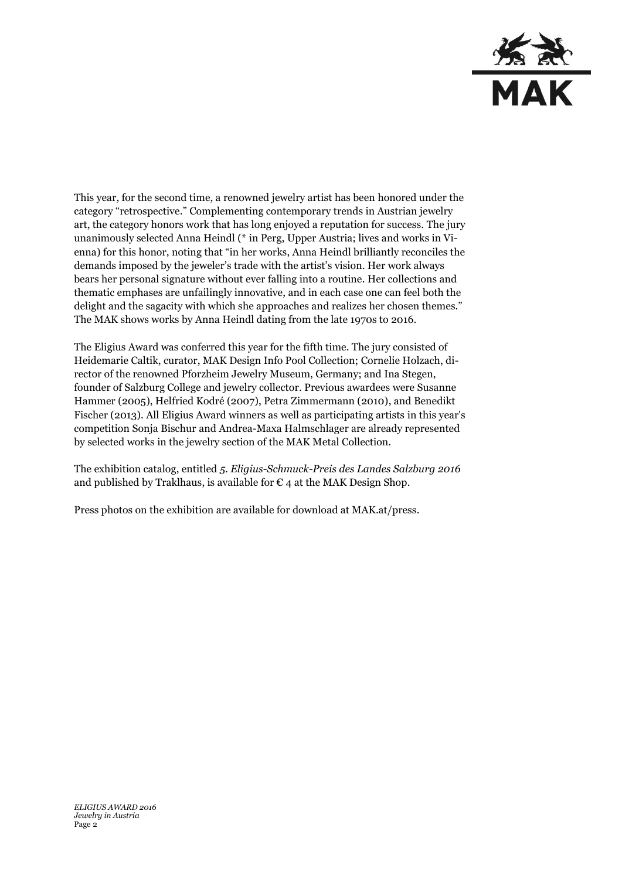

This year, for the second time, a renowned jewelry artist has been honored under the category "retrospective." Complementing contemporary trends in Austrian jewelry art, the category honors work that has long enjoyed a reputation for success. The jury unanimously selected Anna Heindl (\* in Perg, Upper Austria; lives and works in Vienna) for this honor, noting that "in her works, Anna Heindl brilliantly reconciles the demands imposed by the jeweler's trade with the artist's vision. Her work always bears her personal signature without ever falling into a routine. Her collections and thematic emphases are unfailingly innovative, and in each case one can feel both the delight and the sagacity with which she approaches and realizes her chosen themes." The MAK shows works by Anna Heindl dating from the late 1970s to 2016.

The Eligius Award was conferred this year for the fifth time. The jury consisted of Heidemarie Caltik, curator, MAK Design Info Pool Collection; Cornelie Holzach, director of the renowned Pforzheim Jewelry Museum, Germany; and Ina Stegen, founder of Salzburg College and jewelry collector. Previous awardees were Susanne Hammer (2005), Helfried Kodré (2007), Petra Zimmermann (2010), and Benedikt Fischer (2013). All Eligius Award winners as well as participating artists in this year's competition Sonja Bischur and Andrea-Maxa Halmschlager are already represented by selected works in the jewelry section of the MAK Metal Collection.

The exhibition catalog, entitled *5. Eligius-Schmuck-Preis des Landes Salzburg 2016* and published by Traklhaus, is available for  $\epsilon$  4 at the MAK Design Shop.

Press photos on the exhibition are available for download at MAK.at/press.